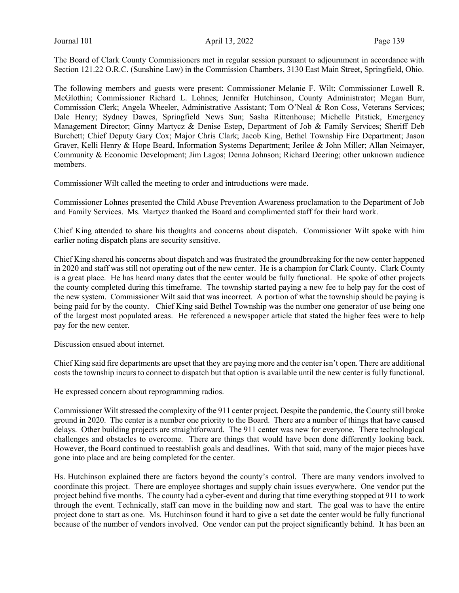The Board of Clark County Commissioners met in regular session pursuant to adjournment in accordance with Section 121.22 O.R.C. (Sunshine Law) in the Commission Chambers, 3130 East Main Street, Springfield, Ohio.

The following members and guests were present: Commissioner Melanie F. Wilt; Commissioner Lowell R. McGlothin; Commissioner Richard L. Lohnes; Jennifer Hutchinson, County Administrator; Megan Burr, Commission Clerk; Angela Wheeler, Administrative Assistant; Tom O'Neal & Ron Coss, Veterans Services; Dale Henry; Sydney Dawes, Springfield News Sun; Sasha Rittenhouse; Michelle Pitstick, Emergency Management Director; Ginny Martycz & Denise Estep, Department of Job & Family Services; Sheriff Deb Burchett; Chief Deputy Gary Cox; Major Chris Clark; Jacob King, Bethel Township Fire Department; Jason Graver, Kelli Henry & Hope Beard, Information Systems Department; Jerilee & John Miller; Allan Neimayer, Community & Economic Development; Jim Lagos; Denna Johnson; Richard Deering; other unknown audience members.

Commissioner Wilt called the meeting to order and introductions were made.

Commissioner Lohnes presented the Child Abuse Prevention Awareness proclamation to the Department of Job and Family Services. Ms. Martycz thanked the Board and complimented staff for their hard work.

Chief King attended to share his thoughts and concerns about dispatch. Commissioner Wilt spoke with him earlier noting dispatch plans are security sensitive.

Chief King shared his concerns about dispatch and was frustrated the groundbreaking for the new center happened in 2020 and staff was still not operating out of the new center. He is a champion for Clark County. Clark County is a great place. He has heard many dates that the center would be fully functional. He spoke of other projects the county completed during this timeframe. The township started paying a new fee to help pay for the cost of the new system. Commissioner Wilt said that was incorrect. A portion of what the township should be paying is being paid for by the county. Chief King said Bethel Township was the number one generator of use being one of the largest most populated areas. He referenced a newspaper article that stated the higher fees were to help pay for the new center.

Discussion ensued about internet.

Chief King said fire departments are upset that they are paying more and the center isn't open. There are additional costs the township incurs to connect to dispatch but that option is available until the new center is fully functional.

He expressed concern about reprogramming radios.

Commissioner Wilt stressed the complexity of the 911 center project. Despite the pandemic, the County still broke ground in 2020. The center is a number one priority to the Board. There are a number of things that have caused delays. Other building projects are straightforward. The 911 center was new for everyone. There technological challenges and obstacles to overcome. There are things that would have been done differently looking back. However, the Board continued to reestablish goals and deadlines. With that said, many of the major pieces have gone into place and are being completed for the center.

Hs. Hutchinson explained there are factors beyond the county's control. There are many vendors involved to coordinate this project. There are employee shortages and supply chain issues everywhere. One vendor put the project behind five months. The county had a cyber-event and during that time everything stopped at 911 to work through the event. Technically, staff can move in the building now and start. The goal was to have the entire project done to start as one. Ms. Hutchinson found it hard to give a set date the center would be fully functional because of the number of vendors involved. One vendor can put the project significantly behind. It has been an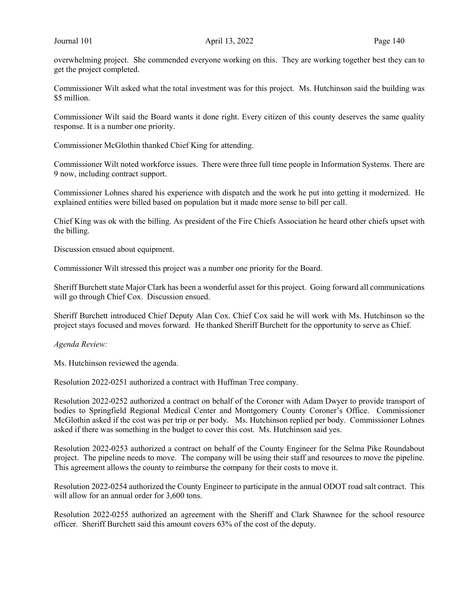overwhelming project. She commended everyone working on this. They are working together best they can to get the project completed.

Commissioner Wilt asked what the total investment was for this project. Ms. Hutchinson said the building was \$5 million.

Commissioner Wilt said the Board wants it done right. Every citizen of this county deserves the same quality response. It is a number one priority.

Commissioner McGlothin thanked Chief King for attending.

Commissioner Wilt noted workforce issues. There were three full time people in Information Systems. There are 9 now, including contract support.

Commissioner Lohnes shared his experience with dispatch and the work he put into getting it modernized. He explained entities were billed based on population but it made more sense to bill per call.

Chief King was ok with the billing. As president of the Fire Chiefs Association he heard other chiefs upset with the billing.

Discussion ensued about equipment.

Commissioner Wilt stressed this project was a number one priority for the Board.

Sheriff Burchett state Major Clark has been a wonderful asset for this project. Going forward all communications will go through Chief Cox. Discussion ensued.

Sheriff Burchett introduced Chief Deputy Alan Cox. Chief Cox said he will work with Ms. Hutchinson so the project stays focused and moves forward. He thanked Sheriff Burchett for the opportunity to serve as Chief.

Agenda Review:

Ms. Hutchinson reviewed the agenda.

Resolution 2022-0251 authorized a contract with Huffman Tree company.

Resolution 2022-0252 authorized a contract on behalf of the Coroner with Adam Dwyer to provide transport of bodies to Springfield Regional Medical Center and Montgomery County Coroner's Office. Commissioner McGlothin asked if the cost was per trip or per body. Ms. Hutchinson replied per body. Commissioner Lohnes asked if there was something in the budget to cover this cost. Ms. Hutchinson said yes.

Resolution 2022-0253 authorized a contract on behalf of the County Engineer for the Selma Pike Roundabout project. The pipeline needs to move. The company will be using their staff and resources to move the pipeline. This agreement allows the county to reimburse the company for their costs to move it.

Resolution 2022-0254 authorized the County Engineer to participate in the annual ODOT road salt contract. This will allow for an annual order for 3,600 tons.

Resolution 2022-0255 authorized an agreement with the Sheriff and Clark Shawnee for the school resource officer. Sheriff Burchett said this amount covers 63% of the cost of the deputy.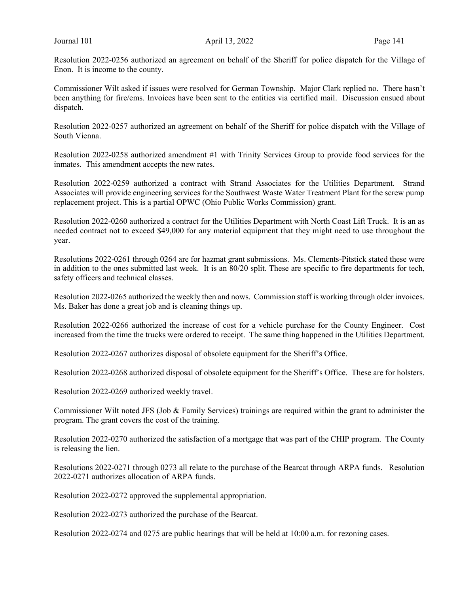Resolution 2022-0256 authorized an agreement on behalf of the Sheriff for police dispatch for the Village of Enon. It is income to the county.

Commissioner Wilt asked if issues were resolved for German Township. Major Clark replied no. There hasn't been anything for fire/ems. Invoices have been sent to the entities via certified mail. Discussion ensued about dispatch.

Resolution 2022-0257 authorized an agreement on behalf of the Sheriff for police dispatch with the Village of South Vienna.

Resolution 2022-0258 authorized amendment #1 with Trinity Services Group to provide food services for the inmates. This amendment accepts the new rates.

Resolution 2022-0259 authorized a contract with Strand Associates for the Utilities Department. Strand Associates will provide engineering services for the Southwest Waste Water Treatment Plant for the screw pump replacement project. This is a partial OPWC (Ohio Public Works Commission) grant.

Resolution 2022-0260 authorized a contract for the Utilities Department with North Coast Lift Truck. It is an as needed contract not to exceed \$49,000 for any material equipment that they might need to use throughout the year.

Resolutions 2022-0261 through 0264 are for hazmat grant submissions. Ms. Clements-Pitstick stated these were in addition to the ones submitted last week. It is an 80/20 split. These are specific to fire departments for tech, safety officers and technical classes.

Resolution 2022-0265 authorized the weekly then and nows. Commission staff is working through older invoices. Ms. Baker has done a great job and is cleaning things up.

Resolution 2022-0266 authorized the increase of cost for a vehicle purchase for the County Engineer. Cost increased from the time the trucks were ordered to receipt. The same thing happened in the Utilities Department.

Resolution 2022-0267 authorizes disposal of obsolete equipment for the Sheriff's Office.

Resolution 2022-0268 authorized disposal of obsolete equipment for the Sheriff's Office. These are for holsters.

Resolution 2022-0269 authorized weekly travel.

Commissioner Wilt noted JFS (Job & Family Services) trainings are required within the grant to administer the program. The grant covers the cost of the training.

Resolution 2022-0270 authorized the satisfaction of a mortgage that was part of the CHIP program. The County is releasing the lien.

Resolutions 2022-0271 through 0273 all relate to the purchase of the Bearcat through ARPA funds. Resolution 2022-0271 authorizes allocation of ARPA funds.

Resolution 2022-0272 approved the supplemental appropriation.

Resolution 2022-0273 authorized the purchase of the Bearcat.

Resolution 2022-0274 and 0275 are public hearings that will be held at 10:00 a.m. for rezoning cases.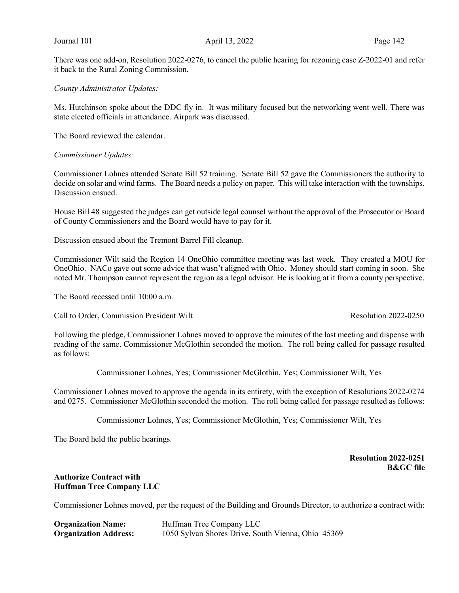There was one add-on, Resolution 2022-0276, to cancel the public hearing for rezoning case Z-2022-01 and refer it back to the Rural Zoning Commission.

County Administrator Updates:

Ms. Hutchinson spoke about the DDC fly in. It was military focused but the networking went well. There was state elected officials in attendance. Airpark was discussed.

The Board reviewed the calendar.

#### Commissioner Updates:

Commissioner Lohnes attended Senate Bill 52 training. Senate Bill 52 gave the Commissioners the authority to decide on solar and wind farms. The Board needs a policy on paper. This will take interaction with the townships. Discussion ensued.

House Bill 48 suggested the judges can get outside legal counsel without the approval of the Prosecutor or Board of County Commissioners and the Board would have to pay for it.

Discussion ensued about the Tremont Barrel Fill cleanup.

Commissioner Wilt said the Region 14 OneOhio committee meeting was last week. They created a MOU for OneOhio. NACo gave out some advice that wasn't aligned with Ohio. Money should start coming in soon. She noted Mr. Thompson cannot represent the region as a legal advisor. He is looking at it from a county perspective.

The Board recessed until 10:00 a.m.

Call to Order, Commission President Wilt Resolution 2022-0250

Following the pledge, Commissioner Lohnes moved to approve the minutes of the last meeting and dispense with reading of the same. Commissioner McGlothin seconded the motion. The roll being called for passage resulted as follows:

Commissioner Lohnes, Yes; Commissioner McGlothin, Yes; Commissioner Wilt, Yes

Commissioner Lohnes moved to approve the agenda in its entirety, with the exception of Resolutions 2022-0274 and 0275. Commissioner McGlothin seconded the motion. The roll being called for passage resulted as follows:

Commissioner Lohnes, Yes; Commissioner McGlothin, Yes; Commissioner Wilt, Yes

The Board held the public hearings.

### Resolution 2022-0251 B&GC file

### Authorize Contract with Huffman Tree Company LLC

Commissioner Lohnes moved, per the request of the Building and Grounds Director, to authorize a contract with:

| <b>Organization Name:</b>    | Huffman Tree Company LLC                           |
|------------------------------|----------------------------------------------------|
| <b>Organization Address:</b> | 1050 Sylvan Shores Drive, South Vienna, Ohio 45369 |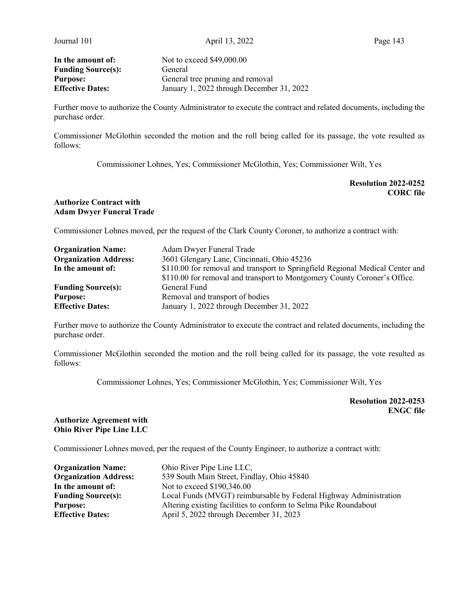Journal 101 **April 13, 2022** Page 143

Funding Source(s): General

In the amount of: Not to exceed \$49,000.00 **Purpose:** General tree pruning and removal<br> **Effective Dates:** January 1, 2022 through Decembe January 1, 2022 through December 31, 2022

Further move to authorize the County Administrator to execute the contract and related documents, including the purchase order.

Commissioner McGlothin seconded the motion and the roll being called for its passage, the vote resulted as follows:

Commissioner Lohnes, Yes; Commissioner McGlothin, Yes; Commissioner Wilt, Yes

### Resolution 2022-0252 CORC file

### Authorize Contract with Adam Dwyer Funeral Trade

Commissioner Lohnes moved, per the request of the Clark County Coroner, to authorize a contract with:

| <b>Organization Name:</b>    | Adam Dwyer Funeral Trade                                                      |
|------------------------------|-------------------------------------------------------------------------------|
| <b>Organization Address:</b> | 3601 Glengary Lane, Cincinnati, Ohio 45236                                    |
| In the amount of:            | \$110.00 for removal and transport to Springfield Regional Medical Center and |
|                              | \$110.00 for removal and transport to Montgomery County Coroner's Office.     |
| <b>Funding Source(s):</b>    | General Fund                                                                  |
| <b>Purpose:</b>              | Removal and transport of bodies                                               |
| <b>Effective Dates:</b>      | January 1, 2022 through December 31, 2022                                     |

Further move to authorize the County Administrator to execute the contract and related documents, including the purchase order.

Commissioner McGlothin seconded the motion and the roll being called for its passage, the vote resulted as follows:

Commissioner Lohnes, Yes; Commissioner McGlothin, Yes; Commissioner Wilt, Yes

Resolution 2022-0253 ENGC file

# Authorize Agreement with Ohio River Pipe Line LLC

Commissioner Lohnes moved, per the request of the County Engineer, to authorize a contract with:

| <b>Organization Name:</b>    | Ohio River Pipe Line LLC,                                         |
|------------------------------|-------------------------------------------------------------------|
| <b>Organization Address:</b> | 539 South Main Street, Findlay, Ohio 45840                        |
| In the amount of:            | Not to exceed \$190,346.00                                        |
| <b>Funding Source(s):</b>    | Local Funds (MVGT) reimbursable by Federal Highway Administration |
| <b>Purpose:</b>              | Altering existing facilities to conform to Selma Pike Roundabout  |
| <b>Effective Dates:</b>      | April 5, 2022 through December 31, 2023                           |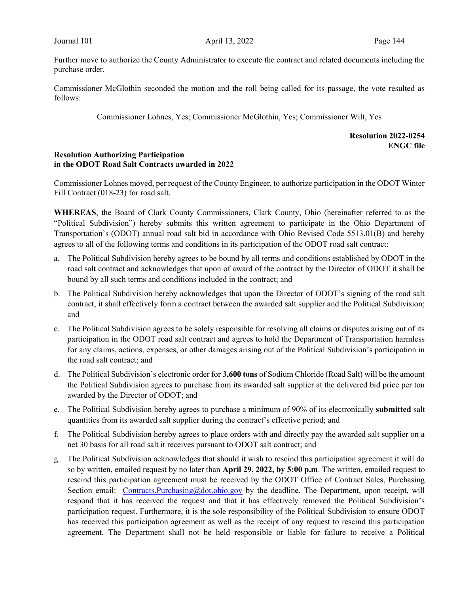Further move to authorize the County Administrator to execute the contract and related documents including the purchase order.

Commissioner McGlothin seconded the motion and the roll being called for its passage, the vote resulted as follows:

Commissioner Lohnes, Yes; Commissioner McGlothin, Yes; Commissioner Wilt, Yes

# Resolution 2022-0254 ENGC file

### Resolution Authorizing Participation in the ODOT Road Salt Contracts awarded in 2022

Commissioner Lohnes moved, per request of the County Engineer, to authorize participation in the ODOT Winter Fill Contract (018-23) for road salt.

WHEREAS, the Board of Clark County Commissioners, Clark County, Ohio (hereinafter referred to as the "Political Subdivision") hereby submits this written agreement to participate in the Ohio Department of Transportation's (ODOT) annual road salt bid in accordance with Ohio Revised Code 5513.01(B) and hereby agrees to all of the following terms and conditions in its participation of the ODOT road salt contract:

- a. The Political Subdivision hereby agrees to be bound by all terms and conditions established by ODOT in the road salt contract and acknowledges that upon of award of the contract by the Director of ODOT it shall be bound by all such terms and conditions included in the contract; and
- b. The Political Subdivision hereby acknowledges that upon the Director of ODOT's signing of the road salt contract, it shall effectively form a contract between the awarded salt supplier and the Political Subdivision; and
- c. The Political Subdivision agrees to be solely responsible for resolving all claims or disputes arising out of its participation in the ODOT road salt contract and agrees to hold the Department of Transportation harmless for any claims, actions, expenses, or other damages arising out of the Political Subdivision's participation in the road salt contract; and
- d. The Political Subdivision's electronic order for 3,600 tons of Sodium Chloride (Road Salt) will be the amount the Political Subdivision agrees to purchase from its awarded salt supplier at the delivered bid price per ton awarded by the Director of ODOT; and
- e. The Political Subdivision hereby agrees to purchase a minimum of 90% of its electronically submitted salt quantities from its awarded salt supplier during the contract's effective period; and
- f. The Political Subdivision hereby agrees to place orders with and directly pay the awarded salt supplier on a net 30 basis for all road salt it receives pursuant to ODOT salt contract; and
- g. The Political Subdivision acknowledges that should it wish to rescind this participation agreement it will do so by written, emailed request by no later than April 29, 2022, by 5:00 p.m. The written, emailed request to rescind this participation agreement must be received by the ODOT Office of Contract Sales, Purchasing Section email: Contracts.Purchasing@dot.ohio.gov by the deadline. The Department, upon receipt, will respond that it has received the request and that it has effectively removed the Political Subdivision's participation request. Furthermore, it is the sole responsibility of the Political Subdivision to ensure ODOT has received this participation agreement as well as the receipt of any request to rescind this participation agreement. The Department shall not be held responsible or liable for failure to receive a Political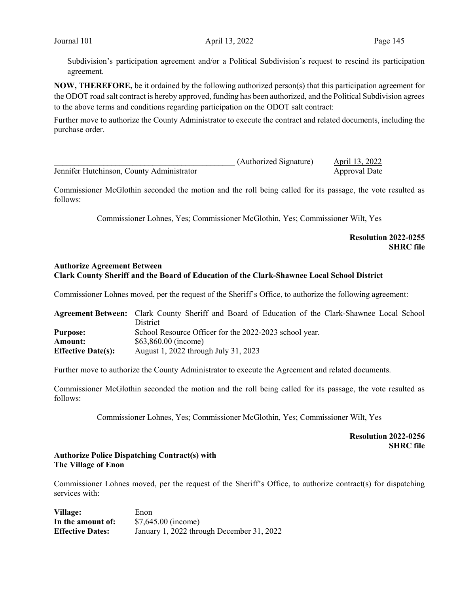Subdivision's participation agreement and/or a Political Subdivision's request to rescind its participation agreement.

NOW, THEREFORE, be it ordained by the following authorized person(s) that this participation agreement for the ODOT road salt contract is hereby approved, funding has been authorized, and the Political Subdivision agrees to the above terms and conditions regarding participation on the ODOT salt contract:

Further move to authorize the County Administrator to execute the contract and related documents, including the purchase order.

|                                           | (Authorized Signature) | April 13, 2022 |
|-------------------------------------------|------------------------|----------------|
| Jennifer Hutchinson, County Administrator |                        | Approval Date  |

Commissioner McGlothin seconded the motion and the roll being called for its passage, the vote resulted as follows:

Commissioner Lohnes, Yes; Commissioner McGlothin, Yes; Commissioner Wilt, Yes

### Resolution 2022-0255 SHRC file

#### Authorize Agreement Between Clark County Sheriff and the Board of Education of the Clark-Shawnee Local School District

Commissioner Lohnes moved, per the request of the Sheriff's Office, to authorize the following agreement:

|                           | Agreement Between: Clark County Sheriff and Board of Education of the Clark-Shawnee Local School |
|---------------------------|--------------------------------------------------------------------------------------------------|
|                           | District                                                                                         |
| <b>Purpose:</b>           | School Resource Officer for the 2022-2023 school year.                                           |
| <b>Amount:</b>            | $$63,860.00$ (income)                                                                            |
| <b>Effective Date(s):</b> | August 1, 2022 through July 31, 2023                                                             |

Further move to authorize the County Administrator to execute the Agreement and related documents.

Commissioner McGlothin seconded the motion and the roll being called for its passage, the vote resulted as follows:

Commissioner Lohnes, Yes; Commissioner McGlothin, Yes; Commissioner Wilt, Yes

# Resolution 2022-0256 SHRC file

### Authorize Police Dispatching Contract(s) with The Village of Enon

Commissioner Lohnes moved, per the request of the Sheriff's Office, to authorize contract(s) for dispatching services with:

Village: Enon In the amount of:  $$7,645.00$  (income) Effective Dates: January 1, 2022 through December 31, 2022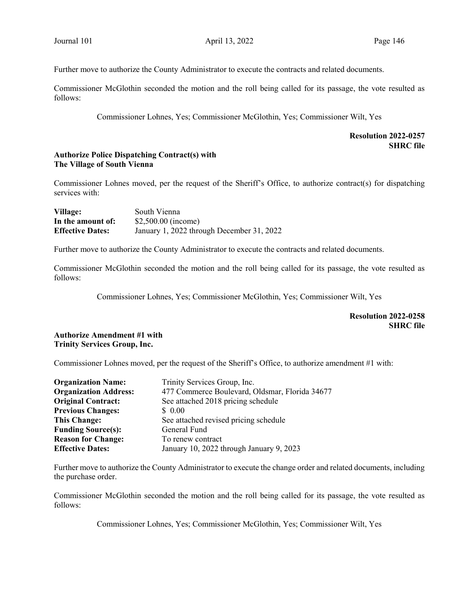Further move to authorize the County Administrator to execute the contracts and related documents.

Commissioner McGlothin seconded the motion and the roll being called for its passage, the vote resulted as follows:

Commissioner Lohnes, Yes; Commissioner McGlothin, Yes; Commissioner Wilt, Yes

# Resolution 2022-0257 **SHRC** file

### Authorize Police Dispatching Contract(s) with The Village of South Vienna

Commissioner Lohnes moved, per the request of the Sheriff's Office, to authorize contract(s) for dispatching services with:

| Village:                | South Vienna                              |
|-------------------------|-------------------------------------------|
| In the amount of:       | $$2,500.00$ (income)                      |
| <b>Effective Dates:</b> | January 1, 2022 through December 31, 2022 |

Further move to authorize the County Administrator to execute the contracts and related documents.

Commissioner McGlothin seconded the motion and the roll being called for its passage, the vote resulted as follows:

Commissioner Lohnes, Yes; Commissioner McGlothin, Yes; Commissioner Wilt, Yes

## Resolution 2022-0258 SHRC file

### Authorize Amendment #1 with Trinity Services Group, Inc.

Commissioner Lohnes moved, per the request of the Sheriff's Office, to authorize amendment #1 with:

| <b>Organization Name:</b>    | Trinity Services Group, Inc.                   |
|------------------------------|------------------------------------------------|
| <b>Organization Address:</b> | 477 Commerce Boulevard, Oldsmar, Florida 34677 |
| <b>Original Contract:</b>    | See attached 2018 pricing schedule             |
| <b>Previous Changes:</b>     | \$ 0.00                                        |
| <b>This Change:</b>          | See attached revised pricing schedule          |
| <b>Funding Source(s):</b>    | General Fund                                   |
| <b>Reason for Change:</b>    | To renew contract                              |
| <b>Effective Dates:</b>      | January 10, 2022 through January 9, 2023       |

Further move to authorize the County Administrator to execute the change order and related documents, including the purchase order.

Commissioner McGlothin seconded the motion and the roll being called for its passage, the vote resulted as follows:

Commissioner Lohnes, Yes; Commissioner McGlothin, Yes; Commissioner Wilt, Yes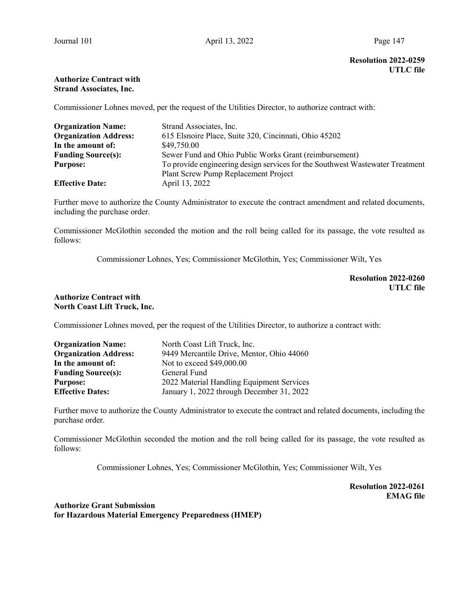# Resolution 2022-0259 UTLC file

# Authorize Contract with Strand Associates, Inc.

Commissioner Lohnes moved, per the request of the Utilities Director, to authorize contract with:

| <b>Organization Name:</b>    | Strand Associates, Inc.                                                       |
|------------------------------|-------------------------------------------------------------------------------|
| <b>Organization Address:</b> | 615 Elsnoire Place, Suite 320, Cincinnati, Ohio 45202                         |
| In the amount of:            | \$49,750.00                                                                   |
| <b>Funding Source(s):</b>    | Sewer Fund and Ohio Public Works Grant (reimbursement)                        |
| <b>Purpose:</b>              | To provide engineering design services for the Southwest Wastewater Treatment |
|                              | Plant Screw Pump Replacement Project                                          |
| <b>Effective Date:</b>       | April 13, 2022                                                                |

Further move to authorize the County Administrator to execute the contract amendment and related documents, including the purchase order.

Commissioner McGlothin seconded the motion and the roll being called for its passage, the vote resulted as follows:

Commissioner Lohnes, Yes; Commissioner McGlothin, Yes; Commissioner Wilt, Yes

Resolution 2022-0260 UTLC file

### Authorize Contract with North Coast Lift Truck, Inc.

Commissioner Lohnes moved, per the request of the Utilities Director, to authorize a contract with:

| <b>Organization Name:</b>    | North Coast Lift Truck, Inc.              |
|------------------------------|-------------------------------------------|
| <b>Organization Address:</b> | 9449 Mercantile Drive, Mentor, Ohio 44060 |
| In the amount of:            | Not to exceed \$49,000.00                 |
| <b>Funding Source(s):</b>    | General Fund                              |
| <b>Purpose:</b>              | 2022 Material Handling Equipment Services |
| <b>Effective Dates:</b>      | January 1, 2022 through December 31, 2022 |

Further move to authorize the County Administrator to execute the contract and related documents, including the purchase order.

Commissioner McGlothin seconded the motion and the roll being called for its passage, the vote resulted as follows:

Commissioner Lohnes, Yes; Commissioner McGlothin, Yes; Commissioner Wilt, Yes

Resolution 2022-0261 EMAG file

Authorize Grant Submission for Hazardous Material Emergency Preparedness (HMEP)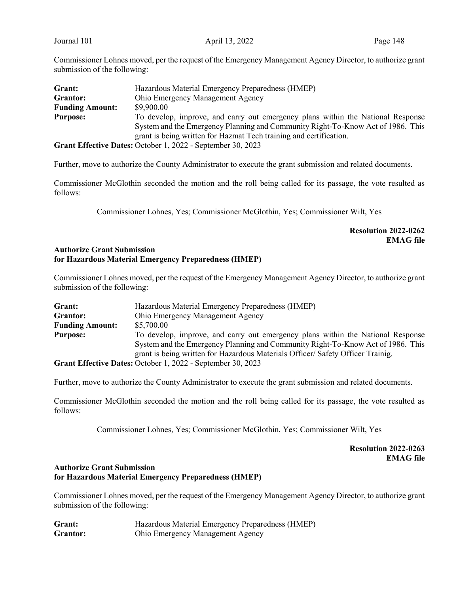Commissioner Lohnes moved, per the request of the Emergency Management Agency Director, to authorize grant submission of the following:

| Grant:                 | Hazardous Material Emergency Preparedness (HMEP)                                |
|------------------------|---------------------------------------------------------------------------------|
| Grantor:               | Ohio Emergency Management Agency                                                |
| <b>Funding Amount:</b> | \$9,900.00                                                                      |
| <b>Purpose:</b>        | To develop, improve, and carry out emergency plans within the National Response |
|                        | System and the Emergency Planning and Community Right-To-Know Act of 1986. This |
|                        | grant is being written for Hazmat Tech training and certification.              |
|                        | Grant Effective Dates: October 1, 2022 - September 30, 2023                     |

Further, move to authorize the County Administrator to execute the grant submission and related documents.

Commissioner McGlothin seconded the motion and the roll being called for its passage, the vote resulted as follows:

Commissioner Lohnes, Yes; Commissioner McGlothin, Yes; Commissioner Wilt, Yes

# Resolution 2022-0262 EMAG file

### Authorize Grant Submission for Hazardous Material Emergency Preparedness (HMEP)

Commissioner Lohnes moved, per the request of the Emergency Management Agency Director, to authorize grant submission of the following:

| Grant:                 | Hazardous Material Emergency Preparedness (HMEP)                                |
|------------------------|---------------------------------------------------------------------------------|
| Grantor:               | <b>Ohio Emergency Management Agency</b>                                         |
| <b>Funding Amount:</b> | \$5,700.00                                                                      |
| <b>Purpose:</b>        | To develop, improve, and carry out emergency plans within the National Response |
|                        | System and the Emergency Planning and Community Right-To-Know Act of 1986. This |
|                        | grant is being written for Hazardous Materials Officer/Safety Officer Trainig.  |
|                        | Grant Effective Dates: October 1, 2022 - September 30, 2023                     |

Further, move to authorize the County Administrator to execute the grant submission and related documents.

Commissioner McGlothin seconded the motion and the roll being called for its passage, the vote resulted as follows:

Commissioner Lohnes, Yes; Commissioner McGlothin, Yes; Commissioner Wilt, Yes

Resolution 2022-0263 EMAG file

### Authorize Grant Submission for Hazardous Material Emergency Preparedness (HMEP)

Commissioner Lohnes moved, per the request of the Emergency Management Agency Director, to authorize grant submission of the following:

| Grant:   | Hazardous Material Emergency Preparedness (HMEP) |
|----------|--------------------------------------------------|
| Grantor: | <b>Ohio Emergency Management Agency</b>          |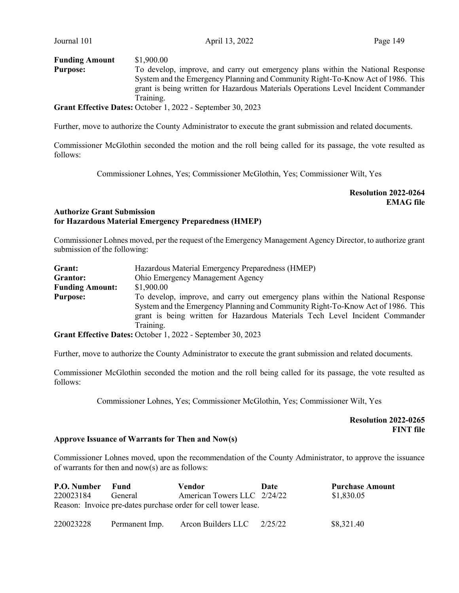| <b>Funding Amount</b> | \$1,900.00                                                                         |
|-----------------------|------------------------------------------------------------------------------------|
| <b>Purpose:</b>       | To develop, improve, and carry out emergency plans within the National Response    |
|                       | System and the Emergency Planning and Community Right-To-Know Act of 1986. This    |
|                       | grant is being written for Hazardous Materials Operations Level Incident Commander |
|                       | Training.                                                                          |
|                       | Grant Effective Dates: October 1, 2022 - September 30, 2023                        |

Further, move to authorize the County Administrator to execute the grant submission and related documents.

Commissioner McGlothin seconded the motion and the roll being called for its passage, the vote resulted as follows:

Commissioner Lohnes, Yes; Commissioner McGlothin, Yes; Commissioner Wilt, Yes

Resolution 2022-0264 EMAG file

### Authorize Grant Submission for Hazardous Material Emergency Preparedness (HMEP)

Commissioner Lohnes moved, per the request of the Emergency Management Agency Director, to authorize grant submission of the following:

| Grant:                 | Hazardous Material Emergency Preparedness (HMEP)                                |  |  |  |
|------------------------|---------------------------------------------------------------------------------|--|--|--|
| Grantor:               | Ohio Emergency Management Agency                                                |  |  |  |
| <b>Funding Amount:</b> | \$1,900.00                                                                      |  |  |  |
| <b>Purpose:</b>        | To develop, improve, and carry out emergency plans within the National Response |  |  |  |
|                        | System and the Emergency Planning and Community Right-To-Know Act of 1986. This |  |  |  |
|                        | grant is being written for Hazardous Materials Tech Level Incident Commander    |  |  |  |
|                        | Training.                                                                       |  |  |  |
|                        | Grant Effective Dates: October 1, 2022 - September 30, 2023                     |  |  |  |

Further, move to authorize the County Administrator to execute the grant submission and related documents.

Commissioner McGlothin seconded the motion and the roll being called for its passage, the vote resulted as follows:

Commissioner Lohnes, Yes; Commissioner McGlothin, Yes; Commissioner Wilt, Yes

 Resolution 2022-0265 FINT file

#### Approve Issuance of Warrants for Then and Now(s)

Commissioner Lohnes moved, upon the recommendation of the County Administrator, to approve the issuance of warrants for then and now(s) are as follows:

| P.O. Number                                                    | Fund           | Vendor                      | Date    | <b>Purchase Amount</b> |  |  |  |
|----------------------------------------------------------------|----------------|-----------------------------|---------|------------------------|--|--|--|
| 220023184                                                      | General        | American Towers LLC 2/24/22 |         | \$1,830.05             |  |  |  |
| Reason: Invoice pre-dates purchase order for cell tower lease. |                |                             |         |                        |  |  |  |
| 220023228                                                      | Permanent Imp. | Arcon Builders LLC          | 2/25/22 | \$8,321.40             |  |  |  |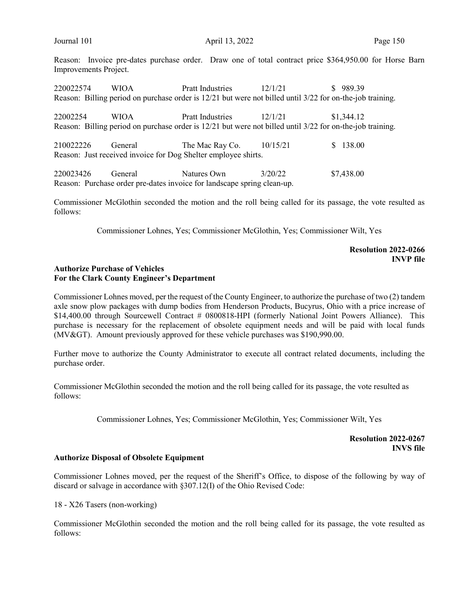Reason: Invoice pre-dates purchase order. Draw one of total contract price \$364,950.00 for Horse Barn Improvements Project.

220022574 WIOA Pratt Industries 12/1/21 \$ 989.39 Reason: Billing period on purchase order is 12/21 but were not billed until 3/22 for on-the-job training.

22002254 WIOA Pratt Industries 12/1/21 \$1,344.12 Reason: Billing period on purchase order is 12/21 but were not billed until 3/22 for on-the-job training.

210022226 General The Mac Ray Co. 10/15/21 \$ 138.00 Reason: Just received invoice for Dog Shelter employee shirts.

220023426 General Natures Own 3/20/22 \$7,438.00 Reason: Purchase order pre-dates invoice for landscape spring clean-up.

Commissioner McGlothin seconded the motion and the roll being called for its passage, the vote resulted as follows:

Commissioner Lohnes, Yes; Commissioner McGlothin, Yes; Commissioner Wilt, Yes

### Resolution 2022-0266 INVP file

### Authorize Purchase of Vehicles For the Clark County Engineer's Department

Commissioner Lohnes moved, per the request of the County Engineer, to authorize the purchase of two (2) tandem axle snow plow packages with dump bodies from Henderson Products, Bucyrus, Ohio with a price increase of \$14,400.00 through Sourcewell Contract # 0800818-HPI (formerly National Joint Powers Alliance). This purchase is necessary for the replacement of obsolete equipment needs and will be paid with local funds ( $MV>$ ). Amount previously approved for these vehicle purchases was \$190,990.00.

Further move to authorize the County Administrator to execute all contract related documents, including the purchase order.

Commissioner McGlothin seconded the motion and the roll being called for its passage, the vote resulted as follows:

Commissioner Lohnes, Yes; Commissioner McGlothin, Yes; Commissioner Wilt, Yes

Resolution 2022-0267 INVS file

#### Authorize Disposal of Obsolete Equipment

Commissioner Lohnes moved, per the request of the Sheriff's Office, to dispose of the following by way of discard or salvage in accordance with §307.12(I) of the Ohio Revised Code:

18 - X26 Tasers (non-working)

Commissioner McGlothin seconded the motion and the roll being called for its passage, the vote resulted as follows: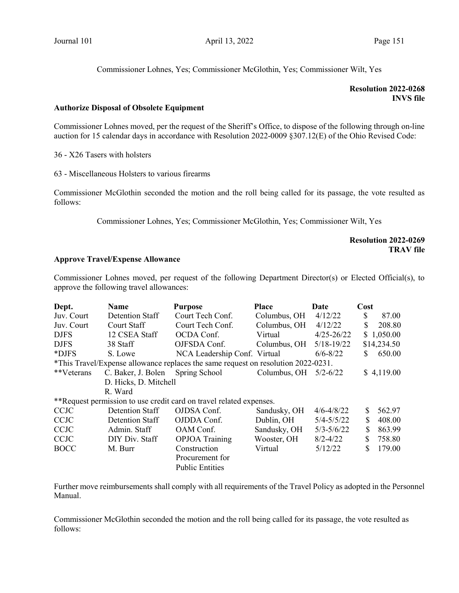Commissioner Lohnes, Yes; Commissioner McGlothin, Yes; Commissioner Wilt, Yes

## Resolution 2022-0268 INVS file

### Authorize Disposal of Obsolete Equipment

Commissioner Lohnes moved, per the request of the Sheriff's Office, to dispose of the following through on-line auction for 15 calendar days in accordance with Resolution 2022-0009 §307.12(E) of the Ohio Revised Code:

36 - X26 Tasers with holsters

63 - Miscellaneous Holsters to various firearms

Commissioner McGlothin seconded the motion and the roll being called for its passage, the vote resulted as follows:

Commissioner Lohnes, Yes; Commissioner McGlothin, Yes; Commissioner Wilt, Yes

# Resolution 2022-0269 TRAV file

### Approve Travel/Expense Allowance

Commissioner Lohnes moved, per request of the following Department Director(s) or Elected Official(s), to approve the following travel allowances:

| Dept.                                                                             | <b>Name</b>           | <b>Purpose</b>               | <b>Place</b> | Date           | Cost |             |
|-----------------------------------------------------------------------------------|-----------------------|------------------------------|--------------|----------------|------|-------------|
| Juv. Court                                                                        | Detention Staff       | Court Tech Conf.             | Columbus, OH | 4/12/22        | \$   | 87.00       |
| Juv. Court                                                                        | Court Staff           | Court Tech Conf.             | Columbus, OH | 4/12/22        | \$   | 208.80      |
| <b>DJFS</b>                                                                       | 12 CSEA Staff         | OCDA Conf.                   | Virtual      | $4/25 - 26/22$ |      | \$1,050.00  |
| <b>DJFS</b>                                                                       | 38 Staff              | OJFSDA Conf.                 | Columbus, OH | $5/18 - 19/22$ |      | \$14,234.50 |
| *DJFS                                                                             | S. Lowe               | NCA Leadership Conf. Virtual |              | $6/6 - 8/22$   | S    | 650.00      |
| *This Travel/Expense allowance replaces the same request on resolution 2022-0231. |                       |                              |              |                |      |             |
| **Veterans                                                                        | C. Baker, J. Bolen    | Spring School                | Columbus, OH | $5/2 - 6/22$   |      | \$4,119.00  |
|                                                                                   | D. Hicks, D. Mitchell |                              |              |                |      |             |
|                                                                                   | R. Ward               |                              |              |                |      |             |
| **Request permission to use credit card on travel related expenses.               |                       |                              |              |                |      |             |
| <b>CCJC</b>                                                                       | Detention Staff       | OJDSA Conf.                  | Sandusky, OH | $4/6 - 4/8/22$ | \$   | 562.97      |
| <b>CCJC</b>                                                                       | Detention Staff       | OJDDA Conf.                  | Dublin, OH   | $5/4 - 5/5/22$ | S    | 408.00      |
| <b>CCJC</b>                                                                       | Admin. Staff          | OAM Conf.                    | Sandusky, OH | $5/3 - 5/6/22$ | \$   | 863.99      |
| <b>CCJC</b>                                                                       | DIY Div. Staff        | <b>OPJOA</b> Training        | Wooster, OH  | $8/2 - 4/22$   | \$   | 758.80      |
| <b>BOCC</b>                                                                       | M. Burr               | Construction                 | Virtual      | 5/12/22        | \$   | 179.00      |
|                                                                                   |                       | Procurement for              |              |                |      |             |
|                                                                                   |                       | <b>Public Entities</b>       |              |                |      |             |

Further move reimbursements shall comply with all requirements of the Travel Policy as adopted in the Personnel Manual.

Commissioner McGlothin seconded the motion and the roll being called for its passage, the vote resulted as follows: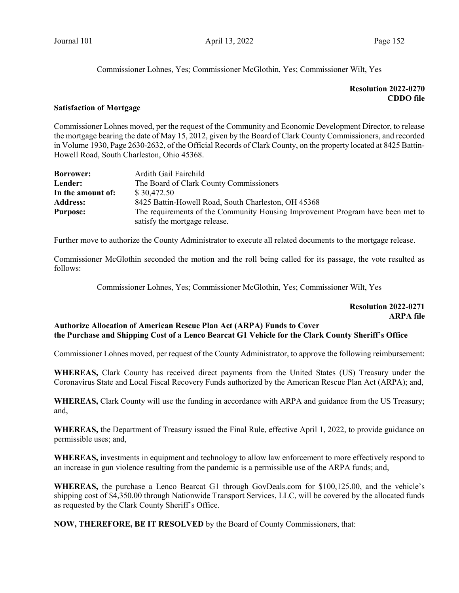Commissioner Lohnes, Yes; Commissioner McGlothin, Yes; Commissioner Wilt, Yes

# Resolution 2022-0270 CDDO file

#### Satisfaction of Mortgage

Commissioner Lohnes moved, per the request of the Community and Economic Development Director, to release the mortgage bearing the date of May 15, 2012, given by the Board of Clark County Commissioners, and recorded in Volume 1930, Page 2630-2632, of the Official Records of Clark County, on the property located at 8425 Battin-Howell Road, South Charleston, Ohio 45368.

| <b>Borrower:</b>  | Ardith Gail Fairchild                                                          |  |
|-------------------|--------------------------------------------------------------------------------|--|
| Lender:           | The Board of Clark County Commissioners                                        |  |
| In the amount of: | \$30.472.50                                                                    |  |
| <b>Address:</b>   | 8425 Battin-Howell Road, South Charleston, OH 45368                            |  |
| <b>Purpose:</b>   | The requirements of the Community Housing Improvement Program have been met to |  |
|                   | satisfy the mortgage release.                                                  |  |

Further move to authorize the County Administrator to execute all related documents to the mortgage release.

Commissioner McGlothin seconded the motion and the roll being called for its passage, the vote resulted as follows:

Commissioner Lohnes, Yes; Commissioner McGlothin, Yes; Commissioner Wilt, Yes

### Resolution 2022-0271 ARPA file

# Authorize Allocation of American Rescue Plan Act (ARPA) Funds to Cover the Purchase and Shipping Cost of a Lenco Bearcat G1 Vehicle for the Clark County Sheriff's Office

Commissioner Lohnes moved, per request of the County Administrator, to approve the following reimbursement:

WHEREAS, Clark County has received direct payments from the United States (US) Treasury under the Coronavirus State and Local Fiscal Recovery Funds authorized by the American Rescue Plan Act (ARPA); and,

WHEREAS, Clark County will use the funding in accordance with ARPA and guidance from the US Treasury; and,

WHEREAS, the Department of Treasury issued the Final Rule, effective April 1, 2022, to provide guidance on permissible uses; and,

WHEREAS, investments in equipment and technology to allow law enforcement to more effectively respond to an increase in gun violence resulting from the pandemic is a permissible use of the ARPA funds; and,

WHEREAS, the purchase a Lenco Bearcat G1 through GovDeals.com for \$100,125.00, and the vehicle's shipping cost of \$4,350.00 through Nationwide Transport Services, LLC, will be covered by the allocated funds as requested by the Clark County Sheriff's Office.

NOW, THEREFORE, BE IT RESOLVED by the Board of County Commissioners, that: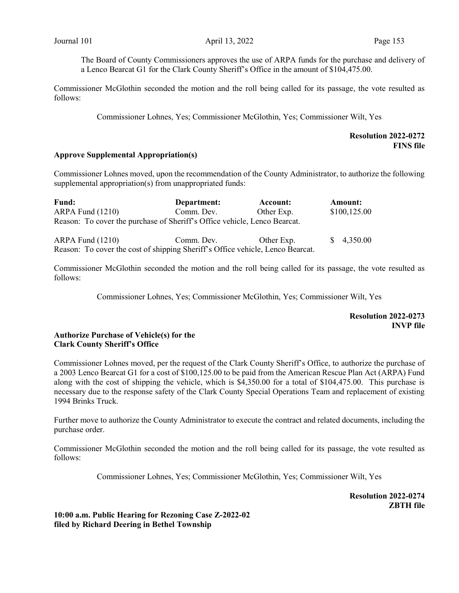The Board of County Commissioners approves the use of ARPA funds for the purchase and delivery of a Lenco Bearcat G1 for the Clark County Sheriff's Office in the amount of \$104,475.00.

Commissioner McGlothin seconded the motion and the roll being called for its passage, the vote resulted as follows:

Commissioner Lohnes, Yes; Commissioner McGlothin, Yes; Commissioner Wilt, Yes

### Resolution 2022-0272 FINS file

#### Approve Supplemental Appropriation(s)

Commissioner Lohnes moved, upon the recommendation of the County Administrator, to authorize the following supplemental appropriation(s) from unappropriated funds:

| Fund:                                                                          | Department: | Account:   | <b>Amount:</b> |
|--------------------------------------------------------------------------------|-------------|------------|----------------|
| ARPA Fund (1210)                                                               | Comm. Dev.  | Other Exp. | \$100,125.00   |
| Reason: To cover the purchase of Sheriff's Office vehicle, Lenco Bearcat.      |             |            |                |
| $ARPA$ Fund $(1210)$                                                           | Comm. Dev.  | Other Exp. | \$4,350.00     |
| Reason: To cover the cost of shipping Sheriff's Office vehicle, Lenco Bearcat. |             |            |                |

Commissioner McGlothin seconded the motion and the roll being called for its passage, the vote resulted as follows:

Commissioner Lohnes, Yes; Commissioner McGlothin, Yes; Commissioner Wilt, Yes

Resolution 2022-0273 INVP file

### Authorize Purchase of Vehicle(s) for the Clark County Sheriff's Office

Commissioner Lohnes moved, per the request of the Clark County Sheriff's Office, to authorize the purchase of a 2003 Lenco Bearcat G1 for a cost of \$100,125.00 to be paid from the American Rescue Plan Act (ARPA) Fund along with the cost of shipping the vehicle, which is \$4,350.00 for a total of \$104,475.00. This purchase is necessary due to the response safety of the Clark County Special Operations Team and replacement of existing 1994 Brinks Truck.

Further move to authorize the County Administrator to execute the contract and related documents, including the purchase order.

Commissioner McGlothin seconded the motion and the roll being called for its passage, the vote resulted as follows:

Commissioner Lohnes, Yes; Commissioner McGlothin, Yes; Commissioner Wilt, Yes

Resolution 2022-0274 ZBTH file

10:00 a.m. Public Hearing for Rezoning Case Z-2022-02 filed by Richard Deering in Bethel Township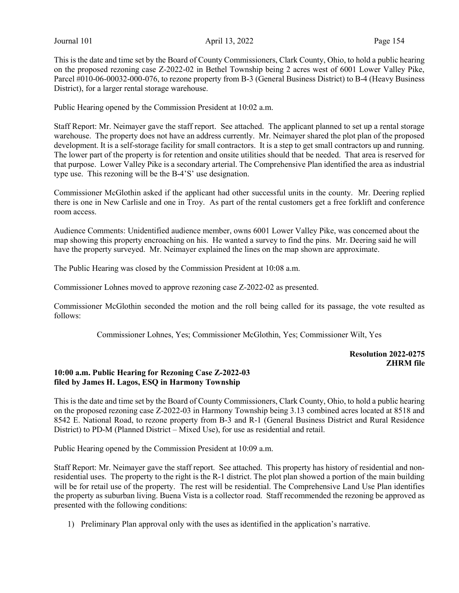This is the date and time set by the Board of County Commissioners, Clark County, Ohio, to hold a public hearing on the proposed rezoning case Z-2022-02 in Bethel Township being 2 acres west of 6001 Lower Valley Pike, Parcel #010-06-00032-000-076, to rezone property from B-3 (General Business District) to B-4 (Heavy Business District), for a larger rental storage warehouse.

Public Hearing opened by the Commission President at 10:02 a.m.

Staff Report: Mr. Neimayer gave the staff report. See attached. The applicant planned to set up a rental storage warehouse. The property does not have an address currently. Mr. Neimayer shared the plot plan of the proposed development. It is a self-storage facility for small contractors. It is a step to get small contractors up and running. The lower part of the property is for retention and onsite utilities should that be needed. That area is reserved for that purpose. Lower Valley Pike is a secondary arterial. The Comprehensive Plan identified the area as industrial type use. This rezoning will be the B-4'S' use designation.

Commissioner McGlothin asked if the applicant had other successful units in the county. Mr. Deering replied there is one in New Carlisle and one in Troy. As part of the rental customers get a free forklift and conference room access.

Audience Comments: Unidentified audience member, owns 6001 Lower Valley Pike, was concerned about the map showing this property encroaching on his. He wanted a survey to find the pins. Mr. Deering said he will have the property surveyed. Mr. Neimayer explained the lines on the map shown are approximate.

The Public Hearing was closed by the Commission President at 10:08 a.m.

Commissioner Lohnes moved to approve rezoning case Z-2022-02 as presented.

Commissioner McGlothin seconded the motion and the roll being called for its passage, the vote resulted as follows:

Commissioner Lohnes, Yes; Commissioner McGlothin, Yes; Commissioner Wilt, Yes

Resolution 2022-0275 ZHRM file

## 10:00 a.m. Public Hearing for Rezoning Case Z-2022-03 filed by James H. Lagos, ESQ in Harmony Township

This is the date and time set by the Board of County Commissioners, Clark County, Ohio, to hold a public hearing on the proposed rezoning case Z-2022-03 in Harmony Township being 3.13 combined acres located at 8518 and 8542 E. National Road, to rezone property from B-3 and R-1 (General Business District and Rural Residence District) to PD-M (Planned District – Mixed Use), for use as residential and retail.

Public Hearing opened by the Commission President at 10:09 a.m.

Staff Report: Mr. Neimayer gave the staff report. See attached. This property has history of residential and nonresidential uses. The property to the right is the R-1 district. The plot plan showed a portion of the main building will be for retail use of the property. The rest will be residential. The Comprehensive Land Use Plan identifies the property as suburban living. Buena Vista is a collector road. Staff recommended the rezoning be approved as presented with the following conditions:

1) Preliminary Plan approval only with the uses as identified in the application's narrative.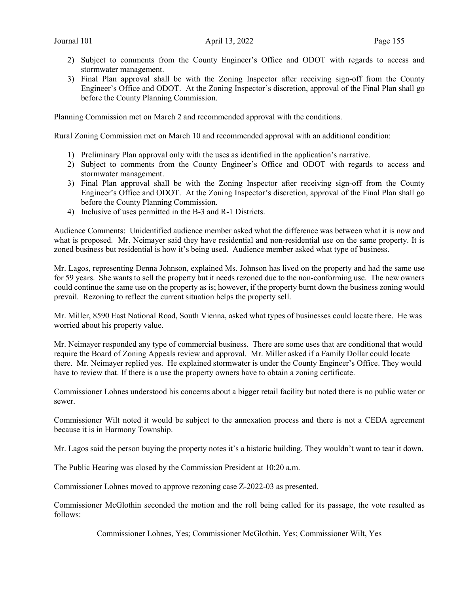- 2) Subject to comments from the County Engineer's Office and ODOT with regards to access and stormwater management.
- 3) Final Plan approval shall be with the Zoning Inspector after receiving sign-off from the County Engineer's Office and ODOT. At the Zoning Inspector's discretion, approval of the Final Plan shall go before the County Planning Commission.

Planning Commission met on March 2 and recommended approval with the conditions.

Rural Zoning Commission met on March 10 and recommended approval with an additional condition:

- 1) Preliminary Plan approval only with the uses as identified in the application's narrative.
- 2) Subject to comments from the County Engineer's Office and ODOT with regards to access and stormwater management.
- 3) Final Plan approval shall be with the Zoning Inspector after receiving sign-off from the County Engineer's Office and ODOT. At the Zoning Inspector's discretion, approval of the Final Plan shall go before the County Planning Commission.
- 4) Inclusive of uses permitted in the B-3 and R-1 Districts.

Audience Comments: Unidentified audience member asked what the difference was between what it is now and what is proposed. Mr. Neimayer said they have residential and non-residential use on the same property. It is zoned business but residential is how it's being used. Audience member asked what type of business.

Mr. Lagos, representing Denna Johnson, explained Ms. Johnson has lived on the property and had the same use for 59 years. She wants to sell the property but it needs rezoned due to the non-conforming use. The new owners could continue the same use on the property as is; however, if the property burnt down the business zoning would prevail. Rezoning to reflect the current situation helps the property sell.

Mr. Miller, 8590 East National Road, South Vienna, asked what types of businesses could locate there. He was worried about his property value.

Mr. Neimayer responded any type of commercial business. There are some uses that are conditional that would require the Board of Zoning Appeals review and approval. Mr. Miller asked if a Family Dollar could locate there. Mr. Neimayer replied yes. He explained stormwater is under the County Engineer's Office. They would have to review that. If there is a use the property owners have to obtain a zoning certificate.

Commissioner Lohnes understood his concerns about a bigger retail facility but noted there is no public water or sewer.

Commissioner Wilt noted it would be subject to the annexation process and there is not a CEDA agreement because it is in Harmony Township.

Mr. Lagos said the person buying the property notes it's a historic building. They wouldn't want to tear it down.

The Public Hearing was closed by the Commission President at 10:20 a.m.

Commissioner Lohnes moved to approve rezoning case Z-2022-03 as presented.

Commissioner McGlothin seconded the motion and the roll being called for its passage, the vote resulted as follows:

Commissioner Lohnes, Yes; Commissioner McGlothin, Yes; Commissioner Wilt, Yes